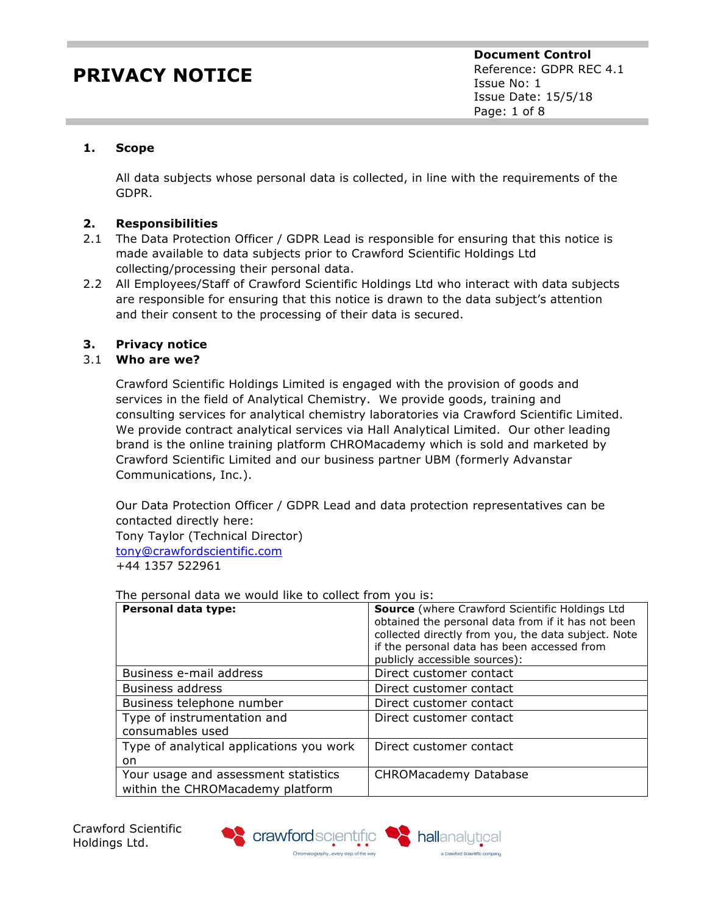## **1. Scope**

All data subjects whose personal data is collected, in line with the requirements of the GDPR.

### **2. Responsibilities**

- 2.1 The Data Protection Officer / GDPR Lead is responsible for ensuring that this notice is made available to data subjects prior to Crawford Scientific Holdings Ltd collecting/processing their personal data.
- 2.2 All Employees/Staff of Crawford Scientific Holdings Ltd who interact with data subjects are responsible for ensuring that this notice is drawn to the data subject's attention and their consent to the processing of their data is secured.

## **3. Privacy notice**

## 3.1 **Who are we?**

Crawford Scientific Holdings Limited is engaged with the provision of goods and services in the field of Analytical Chemistry. We provide goods, training and consulting services for analytical chemistry laboratories via Crawford Scientific Limited. We provide contract analytical services via Hall Analytical Limited. Our other leading brand is the online training platform CHROMacademy which is sold and marketed by Crawford Scientific Limited and our business partner UBM (formerly Advanstar Communications, Inc.).

Our Data Protection Officer / GDPR Lead and data protection representatives can be contacted directly here:

Tony Taylor (Technical Director) tony@crawfordscientific.com +44 1357 522961

The personal data we would like to collect from you is:

| Personal data type:                                                      | <b>Source</b> (where Crawford Scientific Holdings Ltd<br>obtained the personal data from if it has not been<br>collected directly from you, the data subject. Note<br>if the personal data has been accessed from<br>publicly accessible sources): |
|--------------------------------------------------------------------------|----------------------------------------------------------------------------------------------------------------------------------------------------------------------------------------------------------------------------------------------------|
| Business e-mail address                                                  | Direct customer contact                                                                                                                                                                                                                            |
| <b>Business address</b>                                                  | Direct customer contact                                                                                                                                                                                                                            |
| Business telephone number                                                | Direct customer contact                                                                                                                                                                                                                            |
| Type of instrumentation and<br>consumables used                          | Direct customer contact                                                                                                                                                                                                                            |
| Type of analytical applications you work<br>on.                          | Direct customer contact                                                                                                                                                                                                                            |
| Your usage and assessment statistics<br>within the CHROMacademy platform | <b>CHROMacademy Database</b>                                                                                                                                                                                                                       |





a Crawford Scientific company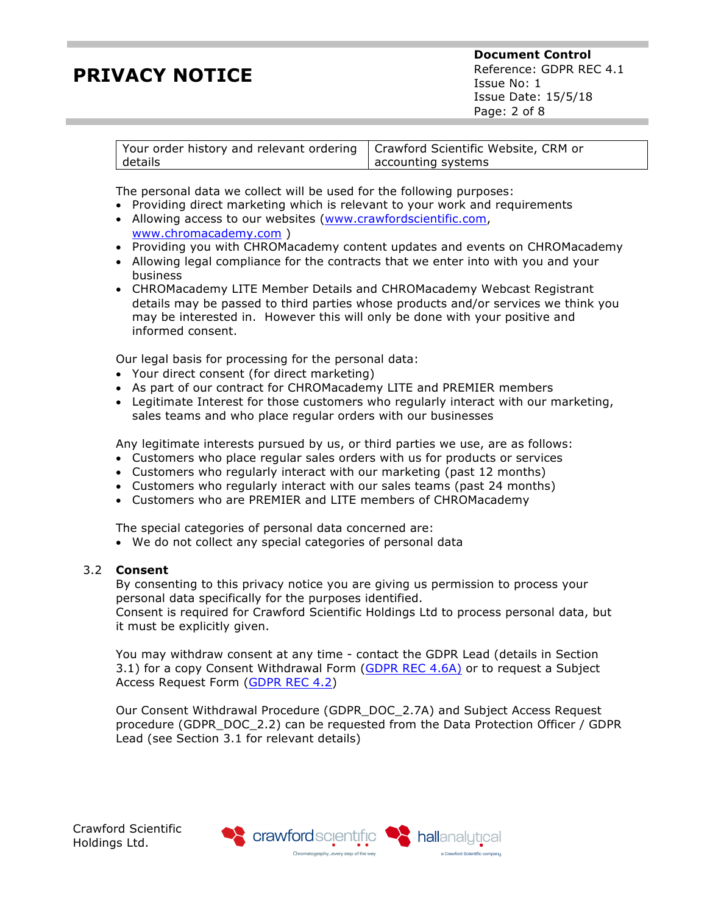**Document Control** Reference: GDPR REC 4.1 Issue No: 1 Issue Date: 15/5/18 Page: 2 of 8

| Your order history and relevant ordering   Crawford Scientific Website, CRM or |                    |
|--------------------------------------------------------------------------------|--------------------|
| details                                                                        | accounting systems |

The personal data we collect will be used for the following purposes:

- Providing direct marketing which is relevant to your work and requirements
- Allowing access to our websites (www.crawfordscientific.com, www.chromacademy.com )
- Providing you with CHROMacademy content updates and events on CHROMacademy
- Allowing legal compliance for the contracts that we enter into with you and your business
- CHROMacademy LITE Member Details and CHROMacademy Webcast Registrant details may be passed to third parties whose products and/or services we think you may be interested in. However this will only be done with your positive and informed consent.

Our legal basis for processing for the personal data:

- Your direct consent (for direct marketing)
- As part of our contract for CHROMacademy LITE and PREMIER members
- Legitimate Interest for those customers who regularly interact with our marketing, sales teams and who place regular orders with our businesses

Any legitimate interests pursued by us, or third parties we use, are as follows:

- Customers who place regular sales orders with us for products or services
- Customers who regularly interact with our marketing (past 12 months)
- Customers who regularly interact with our sales teams (past 24 months)
- Customers who are PREMIER and LITE members of CHROMacademy

The special categories of personal data concerned are:

• We do not collect any special categories of personal data

### 3.2 **Consent**

By consenting to this privacy notice you are giving us permission to process your personal data specifically for the purposes identified.

Consent is required for Crawford Scientific Holdings Ltd to process personal data, but it must be explicitly given.

You may withdraw consent at any time - contact the GDPR Lead (details in Section 3.1) for a copy Consent Withdrawal Form (GDPR REC 4.6A) or to request a Subject Access Request Form (GDPR REC 4.2)

Our Consent Withdrawal Procedure (GDPR\_DOC\_2.7A) and Subject Access Request procedure (GDPR\_DOC\_2.2) can be requested from the Data Protection Officer / GDPR Lead (see Section 3.1 for relevant details)

Crawford Scientific Holdings Ltd.

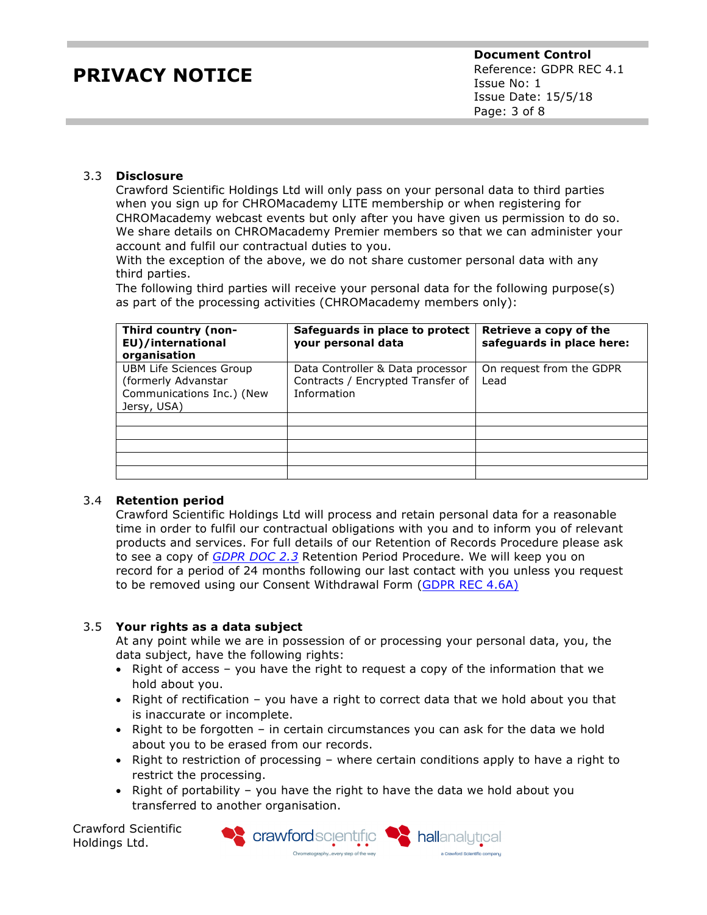### 3.3 **Disclosure**

Crawford Scientific Holdings Ltd will only pass on your personal data to third parties when you sign up for CHROMacademy LITE membership or when registering for CHROMacademy webcast events but only after you have given us permission to do so. We share details on CHROMacademy Premier members so that we can administer your account and fulfil our contractual duties to you.

With the exception of the above, we do not share customer personal data with any third parties.

The following third parties will receive your personal data for the following purpose(s) as part of the processing activities (CHROMacademy members only):

| Third country (non-<br>EU)/international<br>organisation                                          | Safeguards in place to protect<br>your personal data                                 | Retrieve a copy of the<br>safeguards in place here: |
|---------------------------------------------------------------------------------------------------|--------------------------------------------------------------------------------------|-----------------------------------------------------|
| <b>UBM Life Sciences Group</b><br>(formerly Advanstar<br>Communications Inc.) (New<br>Jersy, USA) | Data Controller & Data processor<br>Contracts / Encrypted Transfer of<br>Information | On request from the GDPR<br>Lead                    |
|                                                                                                   |                                                                                      |                                                     |
|                                                                                                   |                                                                                      |                                                     |
|                                                                                                   |                                                                                      |                                                     |
|                                                                                                   |                                                                                      |                                                     |

### 3.4 **Retention period**

Crawford Scientific Holdings Ltd will process and retain personal data for a reasonable time in order to fulfil our contractual obligations with you and to inform you of relevant products and services. For full details of our Retention of Records Procedure please ask to see a copy of *GDPR DOC 2.3* Retention Period Procedure. We will keep you on record for a period of 24 months following our last contact with you unless you request to be removed using our Consent Withdrawal Form (GDPR REC 4.6A)

### 3.5 **Your rights as a data subject**

At any point while we are in possession of or processing your personal data, you, the data subject, have the following rights:

- Right of access you have the right to request a copy of the information that we hold about you.
- Right of rectification you have a right to correct data that we hold about you that is inaccurate or incomplete.
- Right to be forgotten in certain circumstances you can ask for the data we hold about you to be erased from our records.
- Right to restriction of processing where certain conditions apply to have a right to restrict the processing.
- Right of portability you have the right to have the data we hold about you transferred to another organisation.

Crawford Scientific Holdings Ltd.

S crawford scientific Chromatography...every step of the way

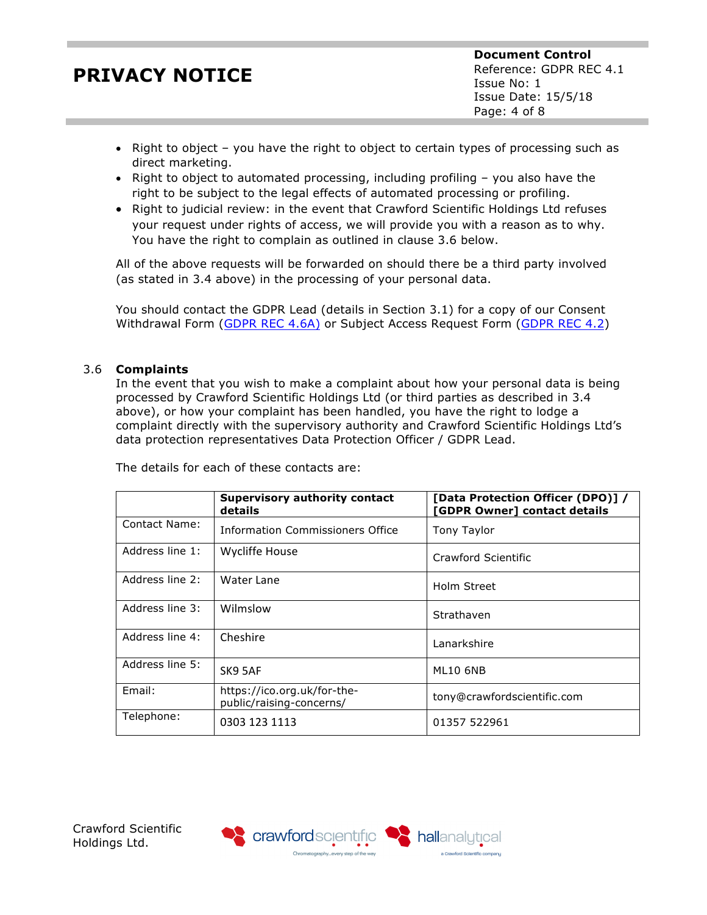- Right to object you have the right to object to certain types of processing such as direct marketing.
- Right to object to automated processing, including profiling you also have the right to be subject to the legal effects of automated processing or profiling.
- Right to judicial review: in the event that Crawford Scientific Holdings Ltd refuses your request under rights of access, we will provide you with a reason as to why. You have the right to complain as outlined in clause 3.6 below.

All of the above requests will be forwarded on should there be a third party involved (as stated in 3.4 above) in the processing of your personal data.

You should contact the GDPR Lead (details in Section 3.1) for a copy of our Consent Withdrawal Form (GDPR REC 4.6A) or Subject Access Request Form (GDPR REC 4.2)

## 3.6 **Complaints**

In the event that you wish to make a complaint about how your personal data is being processed by Crawford Scientific Holdings Ltd (or third parties as described in 3.4 above), or how your complaint has been handled, you have the right to lodge a complaint directly with the supervisory authority and Crawford Scientific Holdings Ltd's data protection representatives Data Protection Officer / GDPR Lead.

|                 | <b>Supervisory authority contact</b><br>details         | [Data Protection Officer (DPO)] /<br>[GDPR Owner] contact details |  |
|-----------------|---------------------------------------------------------|-------------------------------------------------------------------|--|
| Contact Name:   | <b>Information Commissioners Office</b>                 | Tony Taylor                                                       |  |
| Address line 1: | <b>Wycliffe House</b>                                   | Crawford Scientific                                               |  |
| Address line 2: | Water Lane                                              | Holm Street                                                       |  |
| Address line 3: | Wilmslow                                                | Strathaven                                                        |  |
| Address line 4: | Cheshire                                                | Lanarkshire                                                       |  |
| Address line 5: | SK9 5AF                                                 | ML10 6NB                                                          |  |
| Email:          | https://ico.org.uk/for-the-<br>public/raising-concerns/ | tony@crawfordscientific.com                                       |  |
| Telephone:      | 0303 123 1113                                           | 01357 522961                                                      |  |

hallanalytical

a Crawford Scientific company

The details for each of these contacts are:



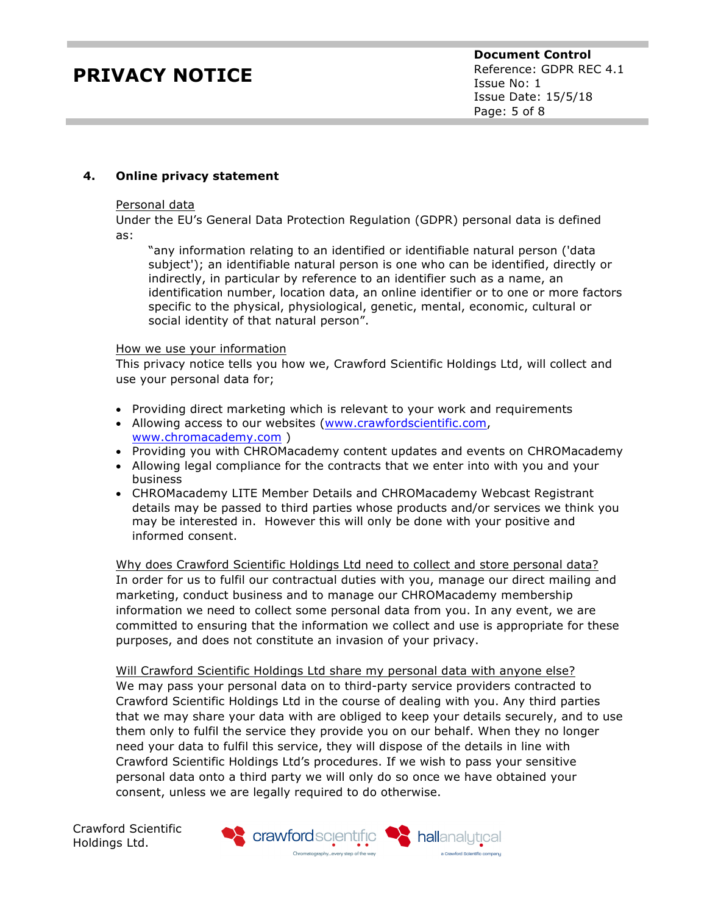## **4. Online privacy statement**

#### Personal data

Under the EU's General Data Protection Regulation (GDPR) personal data is defined as:

"any information relating to an identified or identifiable natural person ('data subject'); an identifiable natural person is one who can be identified, directly or indirectly, in particular by reference to an identifier such as a name, an identification number, location data, an online identifier or to one or more factors specific to the physical, physiological, genetic, mental, economic, cultural or social identity of that natural person".

#### How we use your information

This privacy notice tells you how we, Crawford Scientific Holdings Ltd, will collect and use your personal data for;

- Providing direct marketing which is relevant to your work and requirements
- Allowing access to our websites (www.crawfordscientific.com, www.chromacademy.com )
- Providing you with CHROMacademy content updates and events on CHROMacademy
- Allowing legal compliance for the contracts that we enter into with you and your business
- CHROMacademy LITE Member Details and CHROMacademy Webcast Registrant details may be passed to third parties whose products and/or services we think you may be interested in. However this will only be done with your positive and informed consent.

Why does Crawford Scientific Holdings Ltd need to collect and store personal data? In order for us to fulfil our contractual duties with you, manage our direct mailing and marketing, conduct business and to manage our CHROMacademy membership information we need to collect some personal data from you. In any event, we are committed to ensuring that the information we collect and use is appropriate for these purposes, and does not constitute an invasion of your privacy.

Will Crawford Scientific Holdings Ltd share my personal data with anyone else? We may pass your personal data on to third-party service providers contracted to Crawford Scientific Holdings Ltd in the course of dealing with you. Any third parties that we may share your data with are obliged to keep your details securely, and to use them only to fulfil the service they provide you on our behalf. When they no longer need your data to fulfil this service, they will dispose of the details in line with Crawford Scientific Holdings Ltd's procedures. If we wish to pass your sensitive personal data onto a third party we will only do so once we have obtained your consent, unless we are legally required to do otherwise.

Crawford Scientific Holdings Ltd.

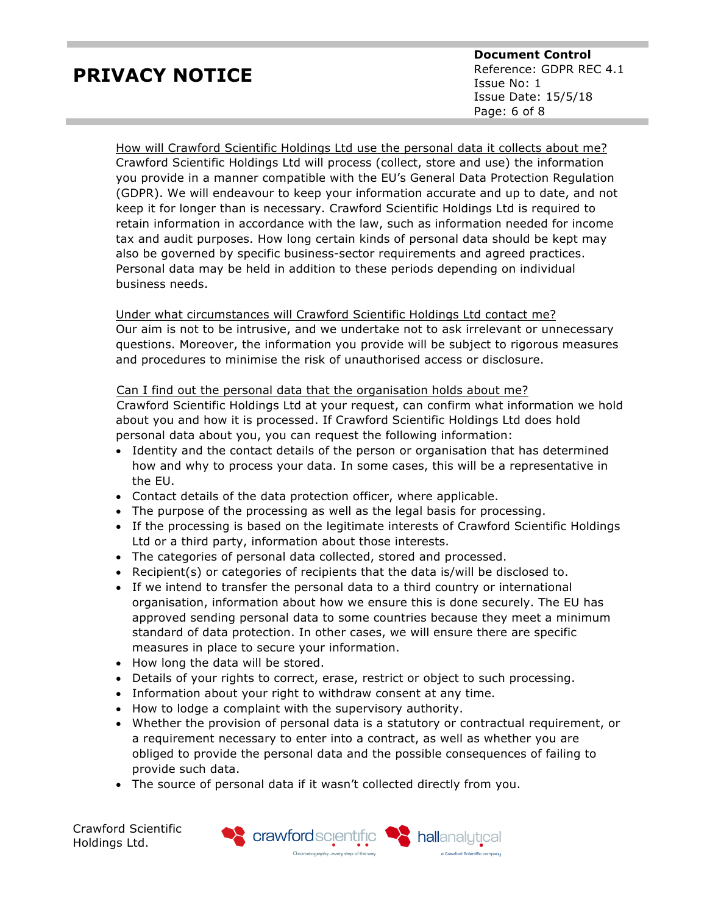**Document Control** Reference: GDPR REC 4.1 Issue No: 1 Issue Date: 15/5/18 Page: 6 of 8

How will Crawford Scientific Holdings Ltd use the personal data it collects about me? Crawford Scientific Holdings Ltd will process (collect, store and use) the information you provide in a manner compatible with the EU's General Data Protection Regulation (GDPR). We will endeavour to keep your information accurate and up to date, and not keep it for longer than is necessary. Crawford Scientific Holdings Ltd is required to retain information in accordance with the law, such as information needed for income tax and audit purposes. How long certain kinds of personal data should be kept may also be governed by specific business-sector requirements and agreed practices. Personal data may be held in addition to these periods depending on individual business needs.

Under what circumstances will Crawford Scientific Holdings Ltd contact me? Our aim is not to be intrusive, and we undertake not to ask irrelevant or unnecessary questions. Moreover, the information you provide will be subject to rigorous measures and procedures to minimise the risk of unauthorised access or disclosure.

### Can I find out the personal data that the organisation holds about me?

Crawford Scientific Holdings Ltd at your request, can confirm what information we hold about you and how it is processed. If Crawford Scientific Holdings Ltd does hold personal data about you, you can request the following information:

- Identity and the contact details of the person or organisation that has determined how and why to process your data. In some cases, this will be a representative in the EU.
- Contact details of the data protection officer, where applicable.
- The purpose of the processing as well as the legal basis for processing.
- If the processing is based on the legitimate interests of Crawford Scientific Holdings Ltd or a third party, information about those interests.
- The categories of personal data collected, stored and processed.
- Recipient(s) or categories of recipients that the data is/will be disclosed to.
- If we intend to transfer the personal data to a third country or international organisation, information about how we ensure this is done securely. The EU has approved sending personal data to some countries because they meet a minimum standard of data protection. In other cases, we will ensure there are specific measures in place to secure your information.
- How long the data will be stored.
- Details of your rights to correct, erase, restrict or object to such processing.
- Information about your right to withdraw consent at any time.
- How to lodge a complaint with the supervisory authority.
- Whether the provision of personal data is a statutory or contractual requirement, or a requirement necessary to enter into a contract, as well as whether you are obliged to provide the personal data and the possible consequences of failing to provide such data.

hallanalytical

a Crawford Scientific company

• The source of personal data if it wasn't collected directly from you.

Crawford Scientific Holdings Ltd.

S crawfordscientific Chromatography...every step of the way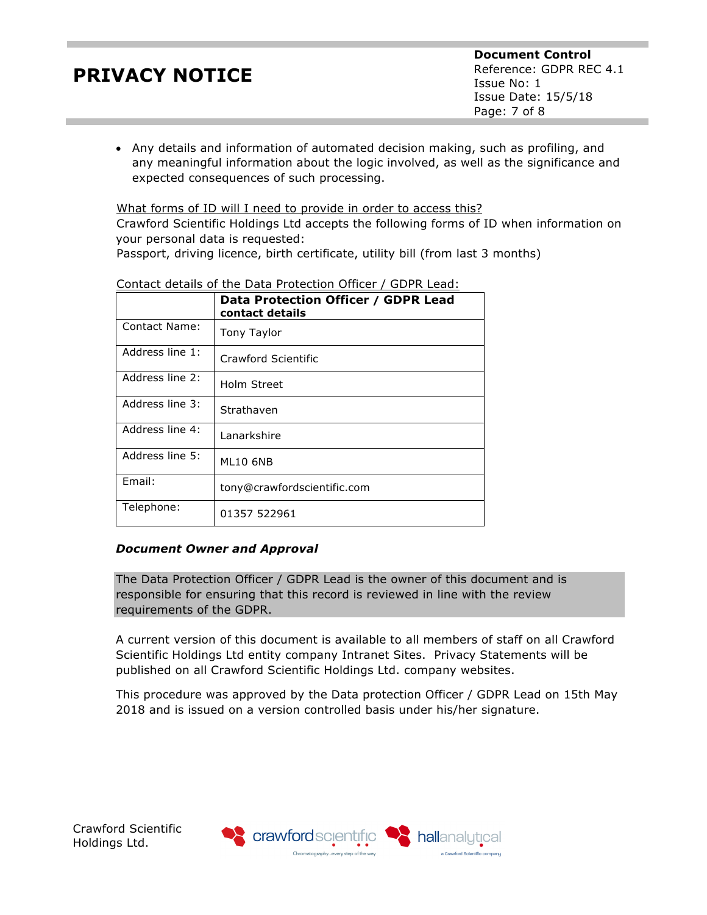• Any details and information of automated decision making, such as profiling, and any meaningful information about the logic involved, as well as the significance and expected consequences of such processing.

What forms of ID will I need to provide in order to access this? Crawford Scientific Holdings Ltd accepts the following forms of ID when information on your personal data is requested:

Passport, driving licence, birth certificate, utility bill (from last 3 months)

|                 | Data Protection Officer / GDPR Lead<br>contact details |
|-----------------|--------------------------------------------------------|
| Contact Name:   | Tony Taylor                                            |
| Address line 1: | Crawford Scientific                                    |
| Address line 2: | Holm Street                                            |
| Address line 3: | Strathaven                                             |
| Address line 4: | Lanarkshire                                            |
| Address line 5: | ML10 6NB                                               |
| Email:          | tony@crawfordscientific.com                            |
| Telephone:      | 01357 522961                                           |

## Contact details of the Data Protection Officer / GDPR Lead:

## *Document Owner and Approval*

The Data Protection Officer / GDPR Lead is the owner of this document and is responsible for ensuring that this record is reviewed in line with the review requirements of the GDPR.

A current version of this document is available to all members of staff on all Crawford Scientific Holdings Ltd entity company Intranet Sites. Privacy Statements will be published on all Crawford Scientific Holdings Ltd. company websites.

This procedure was approved by the Data protection Officer / GDPR Lead on 15th May 2018 and is issued on a version controlled basis under his/her signature.